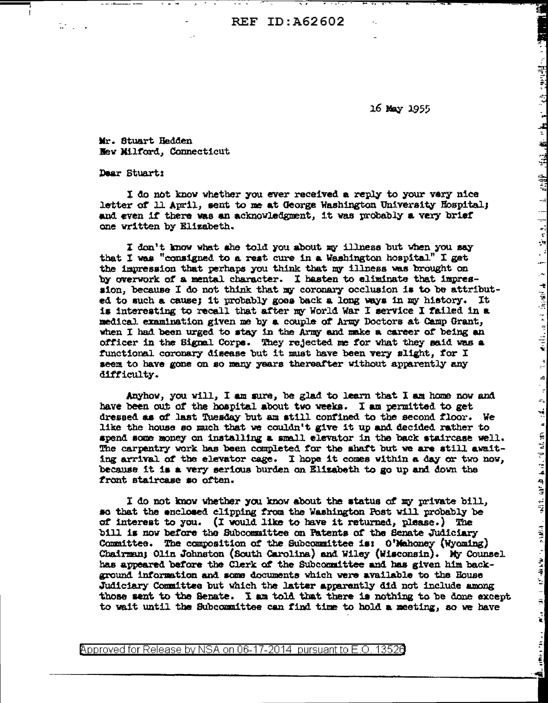**REF ID: A62602** 

16 May 1955

ij

"대학생들이 나는 과정한 구입없고 幽고 있는 그는 '국장 중장보험'을 높은

 $\mathbf{A}$ 

 $\mathbf{H} = \begin{bmatrix} \mathbf{1} & \mathbf{1} & \mathbf{1} & \mathbf{1} & \mathbf{1} & \mathbf{1} & \mathbf{1} & \mathbf{1} & \mathbf{1} & \mathbf{1} & \mathbf{1} & \mathbf{1} & \mathbf{1} & \mathbf{1} & \mathbf{1} & \mathbf{1} & \mathbf{1} & \mathbf{1} & \mathbf{1} & \mathbf{1} & \mathbf{1} & \mathbf{1} & \mathbf{1} & \mathbf{1} & \mathbf{1} & \mathbf{1} & \mathbf{1} & \mathbf{1} & \mathbf{1} & \mathbf{$ 

 $\frac{4}{15}$ 

 $\begin{array}{c} \mathbf{a} \\ \mathbf{b} \\ \mathbf{c} \end{array}$ 

 $\tilde{\mathbf{A}}_{\alpha}$  and the second contribution of the contribution of the second contribution of  $\tilde{\mathbf{A}}_{\alpha}$ 

Mr. Stuart Hedden New Milford, Connecticut

Dear Stuart:

t, r

I do not know whether you ever received a reply to your very nice letter of 11 April, sent to me at George Washington University Hospital; and even if there was an acknowledgment, it was probably a very brief one written by Elizabeth.

I don't know what she told you about my illness but when you say that I was "consigned to a rest cure in a Washington hospital" I get the impression that perhaps you think that my illness was brought on by overwork of a mental character. I hasten to eliminate that impression, because I do not think that my coronary occlusion is to be attributed to such a cause; it probably goes back a long ways in my history. It is interesting to recall that after my World War I service I failed in a medical examination given me by a couple of Army Doctors at Camp Grant, when I had been urged to stay in the Army and make a career of being an officer in the Signal Corps. They rejected me for what they said was a functional coronary disease but it must have been very slight, for I seem to have gone on so many years thereafter without apparently any difficulty.

Anyhow, you will, I am sure, be glad to learn that I am home now and have been out of the hospital about two weeks. I am permitted to get dressed as of last Tuesday but am still confined to the second floor. We like the house so much that we couldn't give it up and decided rather to spend some money on installing a small elevator in the back staircase well. The carpentry work has been completed for the shaft but we are still awaiting arrival of the elevator cage. I hope it comes within a day or two now, because it is a very serious burden on Elizabeth to go up and down the front staircase so often.

I do not know whether you know about the status of my private bill, so that the enclosed clipping from the Washington Post will probably be of interest to you. (I would like to have it returned, please.) The bill is now before the Subcommittee on Patents of the Senate Judiciary Committee. The composition of the Subcommittee is: O'Mahoney (Wyoming) Chairman; Olin Johnston (South Carolina) and Wiley (Wisconsin). My Counsel has appeared before the Clerk of the Subcommittee and has given him background information and some documents which were available to the House Judiciary Committee but which the latter apparantly did not include among those sent to the Senate. I am told that there is nothing to be done except to wait until the Subcommittee can find time to hold a meeting, so we have

Approved for Release by NSA on 06-17-2014 pursuant to E.O. 13526